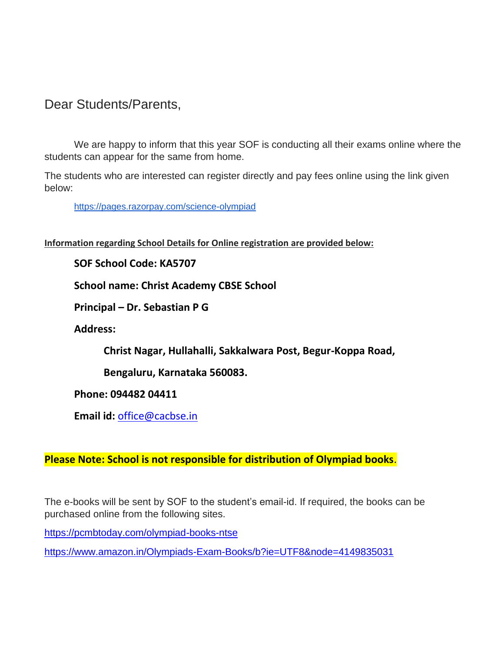## Dear Students/Parents,

We are happy to inform that this year SOF is conducting all their exams online where the students can appear for the same from home.

The students who are interested can register directly and pay fees online using the link given below:

[https://pages.razorpay.com/science-olympiad](http://fapp1.ftrans01.com/QDJCEAWFP?id=15165=dh8ACQcDBlQNH1QJVlUABlUBBR4=RxMLWlNYE1EJdlINRwpDTVdVVgZdDh0XDwtMB1AIAloBUFoEBgBWAVMCCVRJC0RNRgwYTV4CFElXS1ZCF1BbEQdQTFdfXExhIXxyIHQ0dmkJX1MeTlE=&fl=XRdESQwZGARZExQISANERARfRlIGTwFbXR4ydC91dCRiJWA=&ext=aWQ9MTUxNjU9ZGg4QUNRY0RCbFFOSDFRSlZsVUFCbFVCQlI0PVJRQUlWVjV4RUY4RFFWNFhXUWNlVmtSUlMxTU5XbE1PVVZBRUJsSUhBMUlCVkZRTVRGa1hSQlVNSGtwVEFrQkpCeGhSRmtvQ0NrcFdWQjVWQ2x3YU0zTXJJWEZ4WmlWZ1dsOVZHVU5SJmFtcDtmbD1YUmRFU1VVTUdFMUlBZ05jRlV0Q1Z4OWVSeEpXR0V4WFgxeE1Rd1pmVkF0V0JoMVdXazlhRWxFQ0FBPT0=)

**Information regarding School Details for Online registration are provided below:**

**SOF School Code: KA5707**

**School name: Christ Academy CBSE School**

**Principal – Dr. Sebastian P G**

**Address:** 

**Christ Nagar, Hullahalli, Sakkalwara Post, Begur-Koppa Road,** 

**Bengaluru, Karnataka 560083.**

**Phone: 094482 04411**

**Email id:** [office@cacbse.in](mailto:office@cacbse.in)

**Please Note: School is not responsible for distribution of Olympiad books**.

The e-books will be sent by SOF to the student's email-id. If required, the books can be purchased online from the following sites.

<https://pcmbtoday.com/olympiad-books-ntse>

<https://www.amazon.in/Olympiads-Exam-Books/b?ie=UTF8&node=4149835031>